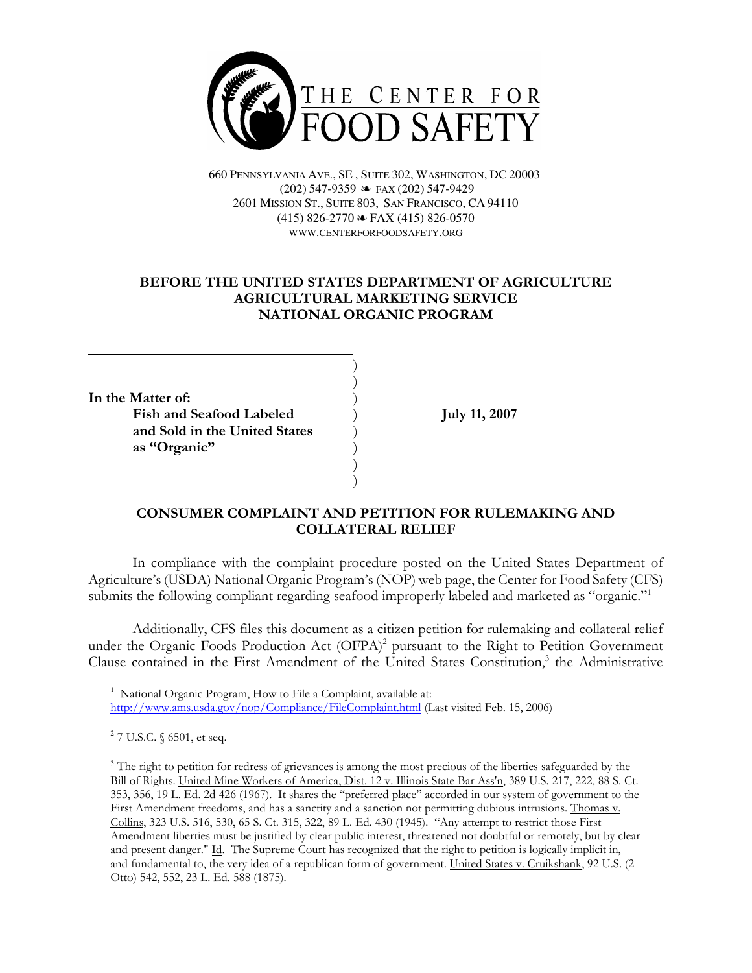

660 PENNSYLVANIA AVE., SE , SUITE 302, WASHINGTON, DC 20003 (202) 547-9359 É FAX (202) 547-9429 2601 MISSION ST., SUITE 803, SAN FRANCISCO, CA 94110  $(415)$  826-2770  $\approx$  FAX (415) 826-0570 WWW.CENTERFORFOODSAFETY.ORG

# BEFORE THE UNITED STATES DEPARTMENT OF AGRICULTURE AGRICULTURAL MARKETING SERVICE NATIONAL ORGANIC PROGRAM

) )

)

In the Matter of: Fish and Seafood Labeled July 11, 2007 and Sold in the United States ) as "Organic"

<u>)</u>

 $\overline{a}$ 

## CONSUMER COMPLAINT AND PETITION FOR RULEMAKING AND COLLATERAL RELIEF

In compliance with the complaint procedure posted on the United States Department of Agriculture's (USDA) National Organic Program's (NOP) web page, the Center for Food Safety (CFS) submits the following compliant regarding seafood improperly labeled and marketed as "organic."<sup>1</sup>

Additionally, CFS files this document as a citizen petition for rulemaking and collateral relief under the Organic Foods Production Act (OFPA)<sup>2</sup> pursuant to the Right to Petition Government Clause contained in the First Amendment of the United States Constitution,<sup>3</sup> the Administrative

<sup>1</sup> National Organic Program, How to File a Complaint, available at:

http://www.ams.usda.gov/nop/Compliance/FileComplaint.html (Last visited Feb. 15, 2006)

<sup>&</sup>lt;sup>2</sup> 7 U.S.C. § 6501, et seq.

<sup>&</sup>lt;sup>3</sup> The right to petition for redress of grievances is among the most precious of the liberties safeguarded by the Bill of Rights. United Mine Workers of America, Dist. 12 v. Illinois State Bar Ass'n, 389 U.S. 217, 222, 88 S. Ct. 353, 356, 19 L. Ed. 2d 426 (1967). It shares the "preferred place" accorded in our system of government to the First Amendment freedoms, and has a sanctity and a sanction not permitting dubious intrusions. Thomas v. Collins, 323 U.S. 516, 530, 65 S. Ct. 315, 322, 89 L. Ed. 430 (1945). "Any attempt to restrict those First Amendment liberties must be justified by clear public interest, threatened not doubtful or remotely, but by clear and present danger." Id. The Supreme Court has recognized that the right to petition is logically implicit in, and fundamental to, the very idea of a republican form of government. United States v. Cruikshank, 92 U.S. (2 Otto) 542, 552, 23 L. Ed. 588 (1875).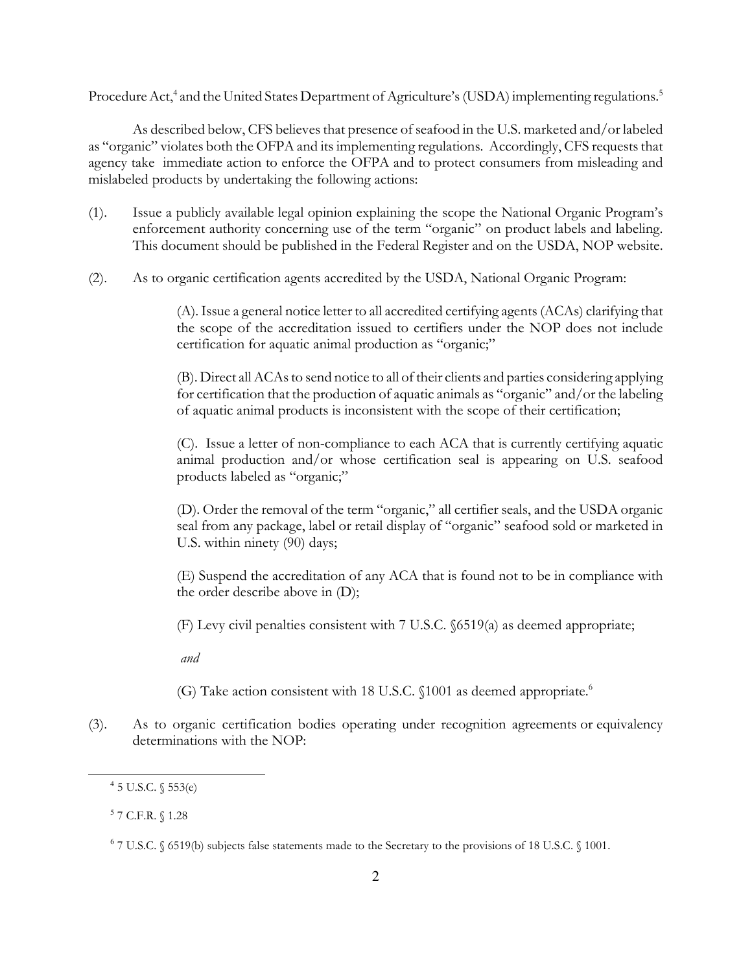Procedure Act,<sup>4</sup> and the United States Department of Agriculture's (USDA) implementing regulations.<sup>5</sup>

As described below, CFS believes that presence of seafood in the U.S. marketed and/or labeled as "organic" violates both the OFPA and its implementing regulations. Accordingly, CFS requests that agency take immediate action to enforce the OFPA and to protect consumers from misleading and mislabeled products by undertaking the following actions:

- (1). Issue a publicly available legal opinion explaining the scope the National Organic Program's enforcement authority concerning use of the term "organic" on product labels and labeling. This document should be published in the Federal Register and on the USDA, NOP website.
- (2). As to organic certification agents accredited by the USDA, National Organic Program:

(A). Issue a general notice letter to all accredited certifying agents (ACAs) clarifying that the scope of the accreditation issued to certifiers under the NOP does not include certification for aquatic animal production as "organic;"

(B). Direct all ACAs to send notice to all of their clients and parties considering applying for certification that the production of aquatic animals as "organic" and/or the labeling of aquatic animal products is inconsistent with the scope of their certification;

(C). Issue a letter of non-compliance to each ACA that is currently certifying aquatic animal production and/or whose certification seal is appearing on U.S. seafood products labeled as "organic;"

(D). Order the removal of the term "organic," all certifier seals, and the USDA organic seal from any package, label or retail display of "organic" seafood sold or marketed in U.S. within ninety (90) days;

(E) Suspend the accreditation of any ACA that is found not to be in compliance with the order describe above in (D);

(F) Levy civil penalties consistent with 7 U.S.C. §6519(a) as deemed appropriate;

and

- (G) Take action consistent with 18 U.S.C. §1001 as deemed appropriate.<sup>6</sup>
- (3). As to organic certification bodies operating under recognition agreements or equivalency determinations with the NOP:

<sup>4</sup> 5 U.S.C. § 553(e)

<sup>5</sup> 7 C.F.R. § 1.28

<sup>6</sup> 7 U.S.C. § 6519(b) subjects false statements made to the Secretary to the provisions of 18 U.S.C. § 1001.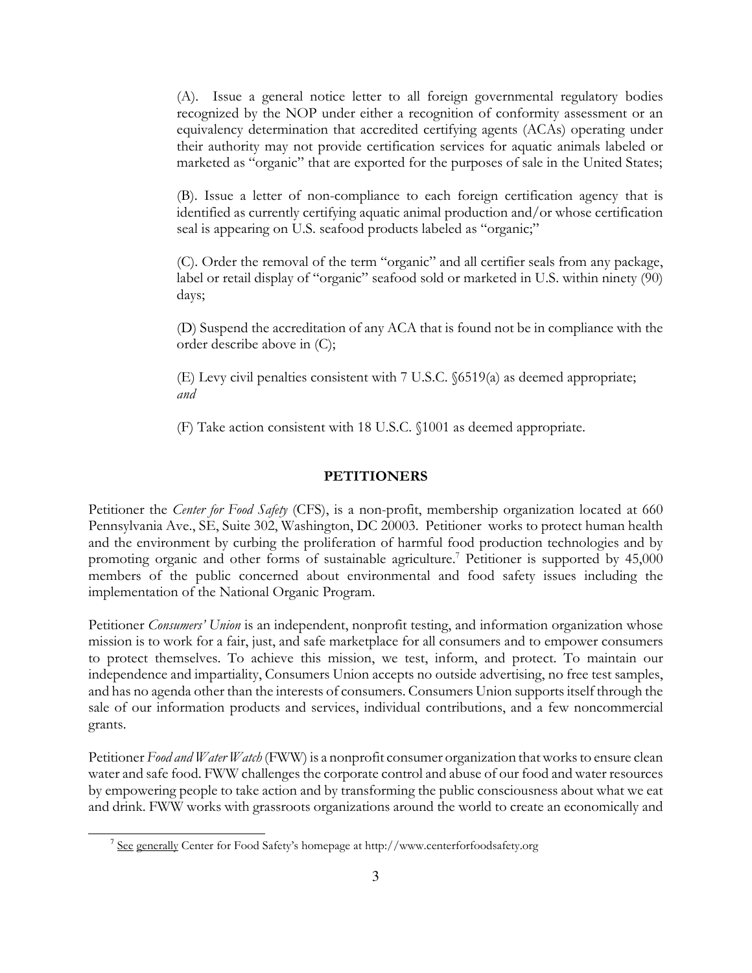(A). Issue a general notice letter to all foreign governmental regulatory bodies recognized by the NOP under either a recognition of conformity assessment or an equivalency determination that accredited certifying agents (ACAs) operating under their authority may not provide certification services for aquatic animals labeled or marketed as "organic" that are exported for the purposes of sale in the United States;

(B). Issue a letter of non-compliance to each foreign certification agency that is identified as currently certifying aquatic animal production and/or whose certification seal is appearing on U.S. seafood products labeled as "organic;"

(C). Order the removal of the term "organic" and all certifier seals from any package, label or retail display of "organic" seafood sold or marketed in U.S. within ninety (90) days;

(D) Suspend the accreditation of any ACA that is found not be in compliance with the order describe above in (C);

(E) Levy civil penalties consistent with 7 U.S.C. §6519(a) as deemed appropriate; and

(F) Take action consistent with 18 U.S.C. §1001 as deemed appropriate.

### **PETITIONERS**

Petitioner the *Center for Food Safety* (CFS), is a non-profit, membership organization located at 660 Pennsylvania Ave., SE, Suite 302, Washington, DC 20003. Petitioner works to protect human health and the environment by curbing the proliferation of harmful food production technologies and by promoting organic and other forms of sustainable agriculture.<sup>7</sup> Petitioner is supported by 45,000 members of the public concerned about environmental and food safety issues including the implementation of the National Organic Program.

Petitioner *Consumers'* Union is an independent, nonprofit testing, and information organization whose mission is to work for a fair, just, and safe marketplace for all consumers and to empower consumers to protect themselves. To achieve this mission, we test, inform, and protect. To maintain our independence and impartiality, Consumers Union accepts no outside advertising, no free test samples, and has no agenda other than the interests of consumers. Consumers Union supports itself through the sale of our information products and services, individual contributions, and a few noncommercial grants.

Petitioner Food and Water Watch (FWW) is a nonprofit consumer organization that works to ensure clean water and safe food. FWW challenges the corporate control and abuse of our food and water resources by empowering people to take action and by transforming the public consciousness about what we eat and drink. FWW works with grassroots organizations around the world to create an economically and

<sup>&</sup>lt;sup>7</sup> See generally Center for Food Safety's homepage at http://www.centerforfoodsafety.org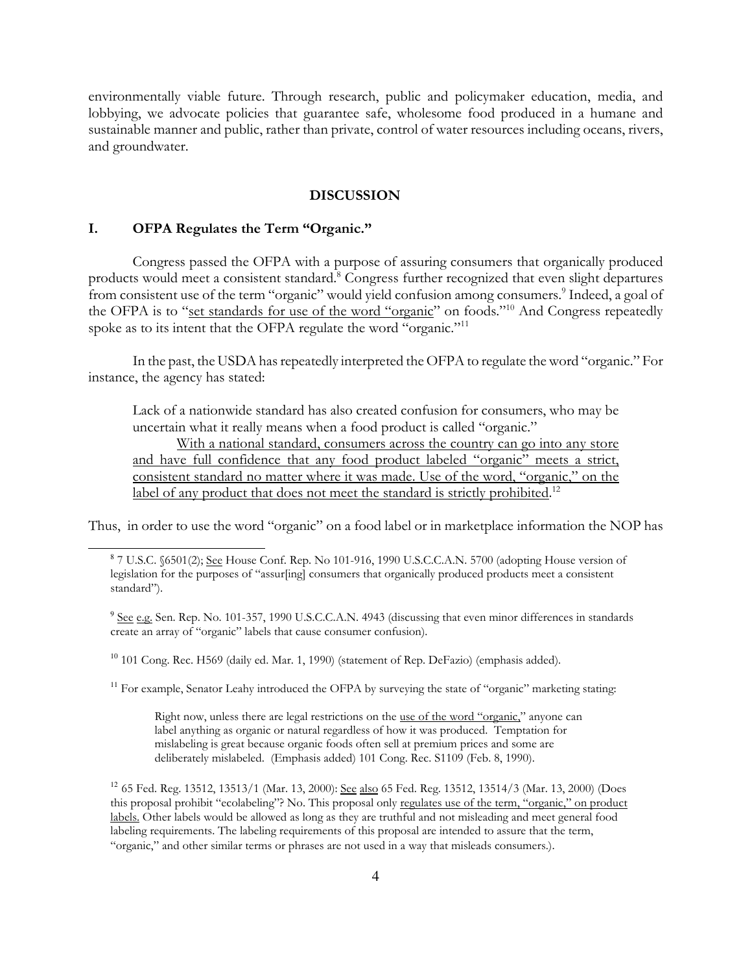environmentally viable future. Through research, public and policymaker education, media, and lobbying, we advocate policies that guarantee safe, wholesome food produced in a humane and sustainable manner and public, rather than private, control of water resources including oceans, rivers, and groundwater.

## DISCUSSION

### I. OFPA Regulates the Term "Organic."

Congress passed the OFPA with a purpose of assuring consumers that organically produced products would meet a consistent standard.<sup>8</sup> Congress further recognized that even slight departures from consistent use of the term "organic" would yield confusion among consumers.<sup>9</sup> Indeed, a goal of the OFPA is to "set standards for use of the word "organic" on foods."<sup>10</sup> And Congress repeatedly spoke as to its intent that the OFPA regulate the word "organic."<sup>11</sup>

In the past, the USDA has repeatedly interpreted the OFPA to regulate the word "organic." For instance, the agency has stated:

Lack of a nationwide standard has also created confusion for consumers, who may be uncertain what it really means when a food product is called "organic."

With a national standard, consumers across the country can go into any store and have full confidence that any food product labeled "organic" meets a strict, consistent standard no matter where it was made. Use of the word, "organic," on the label of any product that does not meet the standard is strictly prohibited.<sup>12</sup>

Thus, in order to use the word "organic" on a food label or in marketplace information the NOP has

<sup>9</sup> See e.g. Sen. Rep. No. 101-357, 1990 U.S.C.C.A.N. 4943 (discussing that even minor differences in standards create an array of "organic" labels that cause consumer confusion).

<sup>10</sup> 101 Cong. Rec. H569 (daily ed. Mar. 1, 1990) (statement of Rep. DeFazio) (emphasis added).

<sup>11</sup> For example, Senator Leahy introduced the OFPA by surveying the state of "organic" marketing stating:

Right now, unless there are legal restrictions on the use of the word "organic," anyone can label anything as organic or natural regardless of how it was produced. Temptation for mislabeling is great because organic foods often sell at premium prices and some are deliberately mislabeled. (Emphasis added) 101 Cong. Rec. S1109 (Feb. 8, 1990).

<sup>12</sup> 65 Fed. Reg. 13512, 13513/1 (Mar. 13, 2000): See also 65 Fed. Reg. 13512, 13514/3 (Mar. 13, 2000) (Does this proposal prohibit "ecolabeling"? No. This proposal only regulates use of the term, "organic," on product labels. Other labels would be allowed as long as they are truthful and not misleading and meet general food labeling requirements. The labeling requirements of this proposal are intended to assure that the term, "organic," and other similar terms or phrases are not used in a way that misleads consumers.).

<sup>&</sup>lt;sup>8</sup> 7 U.S.C. §6501(2); <u>See</u> House Conf. Rep. No 101-916, 1990 U.S.C.C.A.N. 5700 (adopting House version of legislation for the purposes of "assur[ing] consumers that organically produced products meet a consistent standard").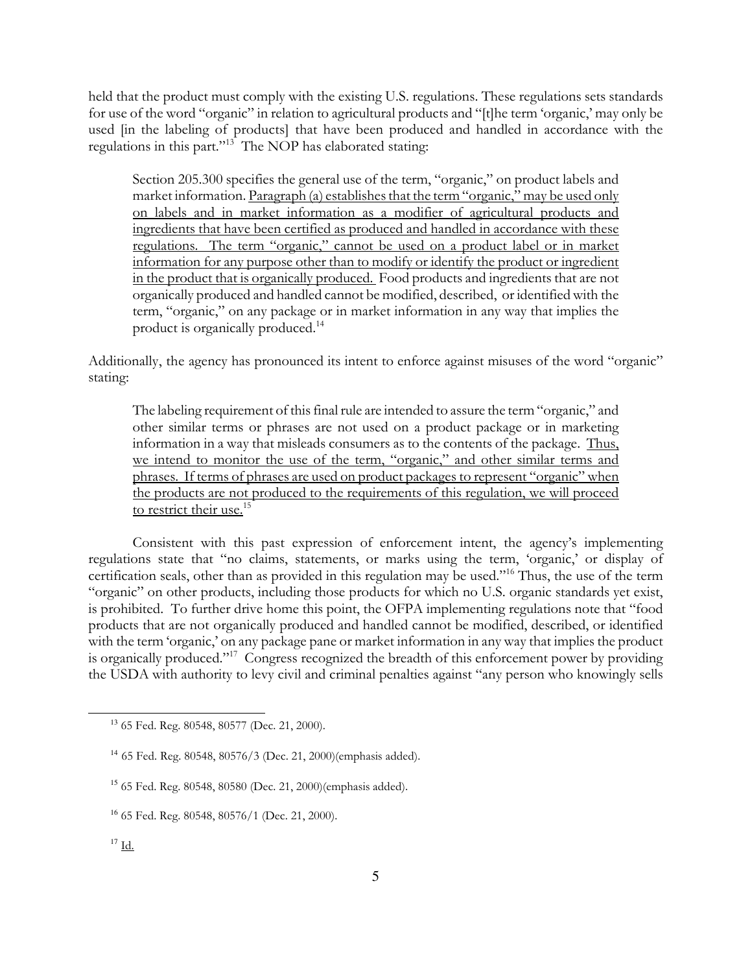held that the product must comply with the existing U.S. regulations. These regulations sets standards for use of the word "organic" in relation to agricultural products and "[t]he term 'organic,' may only be used [in the labeling of products] that have been produced and handled in accordance with the regulations in this part."<sup>13</sup> The NOP has elaborated stating:

Section 205.300 specifies the general use of the term, "organic," on product labels and market information. Paragraph (a) establishes that the term "organic," may be used only on labels and in market information as a modifier of agricultural products and ingredients that have been certified as produced and handled in accordance with these regulations. The term "organic," cannot be used on a product label or in market information for any purpose other than to modify or identify the product or ingredient in the product that is organically produced. Food products and ingredients that are not organically produced and handled cannot be modified, described, or identified with the term, "organic," on any package or in market information in any way that implies the product is organically produced.<sup>14</sup>

Additionally, the agency has pronounced its intent to enforce against misuses of the word "organic" stating:

The labeling requirement of this final rule are intended to assure the term "organic," and other similar terms or phrases are not used on a product package or in marketing information in a way that misleads consumers as to the contents of the package. Thus, we intend to monitor the use of the term, "organic," and other similar terms and phrases. If terms of phrases are used on product packages to represent "organic" when the products are not produced to the requirements of this regulation, we will proceed to restrict their use.<sup>15</sup>

Consistent with this past expression of enforcement intent, the agency's implementing regulations state that "no claims, statements, or marks using the term, 'organic,' or display of certification seals, other than as provided in this regulation may be used."<sup>16</sup> Thus, the use of the term "organic" on other products, including those products for which no U.S. organic standards yet exist, is prohibited. To further drive home this point, the OFPA implementing regulations note that "food products that are not organically produced and handled cannot be modified, described, or identified with the term 'organic,' on any package pane or market information in any way that implies the product is organically produced."<sup>17</sup> Congress recognized the breadth of this enforcement power by providing the USDA with authority to levy civil and criminal penalties against "any person who knowingly sells

<sup>13</sup> 65 Fed. Reg. 80548, 80577 (Dec. 21, 2000).

<sup>14</sup> 65 Fed. Reg. 80548, 80576/3 (Dec. 21, 2000)(emphasis added).

<sup>15</sup> 65 Fed. Reg. 80548, 80580 (Dec. 21, 2000)(emphasis added).

<sup>16</sup> 65 Fed. Reg. 80548, 80576/1 (Dec. 21, 2000).

 $17 \underline{\text{Id}}$ .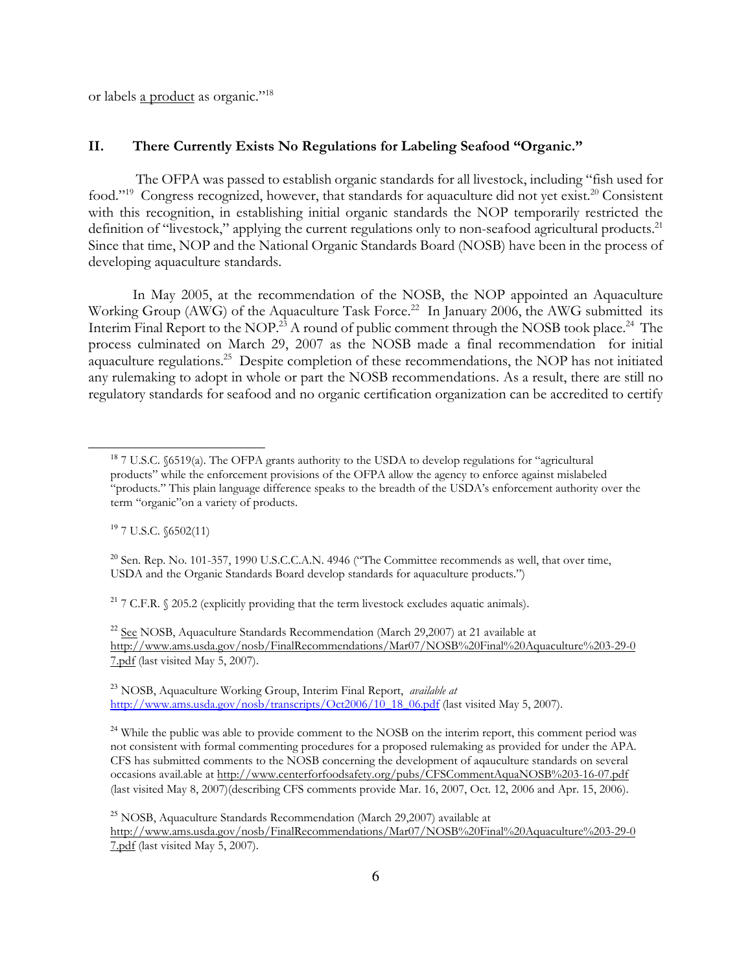or labels a product as organic."<sup>18</sup>

## II. There Currently Exists No Regulations for Labeling Seafood "Organic."

 The OFPA was passed to establish organic standards for all livestock, including "fish used for food."<sup>19</sup> Congress recognized, however, that standards for aquaculture did not yet exist.<sup>20</sup> Consistent with this recognition, in establishing initial organic standards the NOP temporarily restricted the definition of "livestock," applying the current regulations only to non-seafood agricultural products.<sup>21</sup> Since that time, NOP and the National Organic Standards Board (NOSB) have been in the process of developing aquaculture standards.

In May 2005, at the recommendation of the NOSB, the NOP appointed an Aquaculture Working Group (AWG) of the Aquaculture Task Force.<sup>22</sup> In January 2006, the AWG submitted its Interim Final Report to the NOP.<sup>23</sup> A round of public comment through the NOSB took place.<sup>24</sup> The process culminated on March 29, 2007 as the NOSB made a final recommendation for initial aquaculture regulations.<sup>25</sup> Despite completion of these recommendations, the NOP has not initiated any rulemaking to adopt in whole or part the NOSB recommendations. As a result, there are still no regulatory standards for seafood and no organic certification organization can be accredited to certify

<sup>19</sup> 7 U.S.C. §6502(11)

<sup>20</sup> Sen. Rep. No. 101-357, 1990 U.S.C.C.A.N. 4946 ("The Committee recommends as well, that over time, USDA and the Organic Standards Board develop standards for aquaculture products.")

<sup>21</sup> 7 C.F.R.  $\Diamond$  205.2 (explicitly providing that the term livestock excludes aquatic animals).

<sup>22</sup> See NOSB, Aquaculture Standards Recommendation (March 29,2007) at 21 available at http://www.ams.usda.gov/nosb/FinalRecommendations/Mar07/NOSB%20Final%20Aquaculture%203-29-0 7.pdf (last visited May 5, 2007).

<sup>23</sup> NOSB, Aquaculture Working Group, Interim Final Report, *available at* http://www.ams.usda.gov/nosb/transcripts/Oct2006/10\_18\_06.pdf (last visited May 5, 2007).

<sup>24</sup> While the public was able to provide comment to the NOSB on the interim report, this comment period was not consistent with formal commenting procedures for a proposed rulemaking as provided for under the APA. CFS has submitted comments to the NOSB concerning the development of aqauculture standards on several occasions avail.able at http://www.centerforfoodsafety.org/pubs/CFSCommentAquaNOSB%203-16-07.pdf (last visited May 8, 2007)(describing CFS comments provide Mar. 16, 2007, Oct. 12, 2006 and Apr. 15, 2006).

 $^{25}$  NOSB, Aquaculture Standards Recommendation (March 29,2007) available at

http://www.ams.usda.gov/nosb/FinalRecommendations/Mar07/NOSB%20Final%20Aquaculture%203-29-0 7.pdf (last visited May 5, 2007).

<sup>&</sup>lt;sup>18</sup> 7 U.S.C. §6519(a). The OFPA grants authority to the USDA to develop regulations for "agricultural" products" while the enforcement provisions of the OFPA allow the agency to enforce against mislabeled "products." This plain language difference speaks to the breadth of the USDA's enforcement authority over the term "organic"on a variety of products.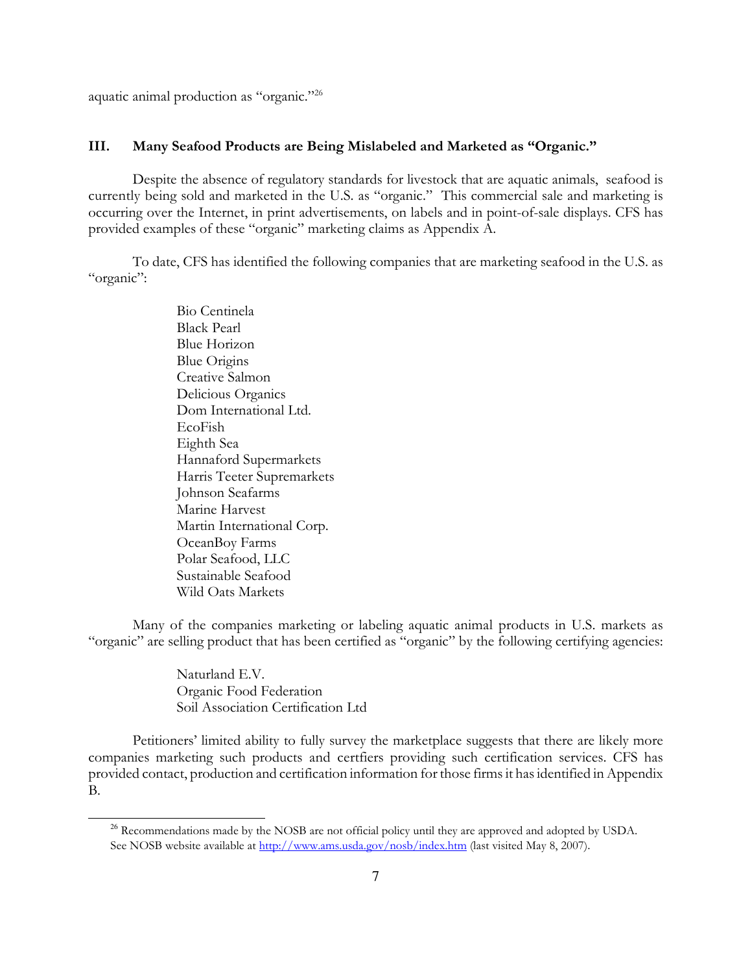aquatic animal production as "organic."<sup>26</sup>

#### III. Many Seafood Products are Being Mislabeled and Marketed as "Organic."

Despite the absence of regulatory standards for livestock that are aquatic animals, seafood is currently being sold and marketed in the U.S. as "organic." This commercial sale and marketing is occurring over the Internet, in print advertisements, on labels and in point-of-sale displays. CFS has provided examples of these "organic" marketing claims as Appendix A.

To date, CFS has identified the following companies that are marketing seafood in the U.S. as "organic":

> Bio Centinela Black Pearl Blue Horizon Blue Origins Creative Salmon Delicious Organics Dom International Ltd. EcoFish Eighth Sea Hannaford Supermarkets Harris Teeter Supremarkets Johnson Seafarms Marine Harvest Martin International Corp. OceanBoy Farms Polar Seafood, LLC Sustainable Seafood Wild Oats Markets

Many of the companies marketing or labeling aquatic animal products in U.S. markets as "organic" are selling product that has been certified as "organic" by the following certifying agencies:

> Naturland E.V. Organic Food Federation Soil Association Certification Ltd

Petitioners' limited ability to fully survey the marketplace suggests that there are likely more companies marketing such products and certfiers providing such certification services. CFS has provided contact, production and certification information for those firms it has identified in Appendix B.

<sup>&</sup>lt;sup>26</sup> Recommendations made by the NOSB are not official policy until they are approved and adopted by USDA. See NOSB website available at http://www.ams.usda.gov/nosb/index.htm (last visited May 8, 2007).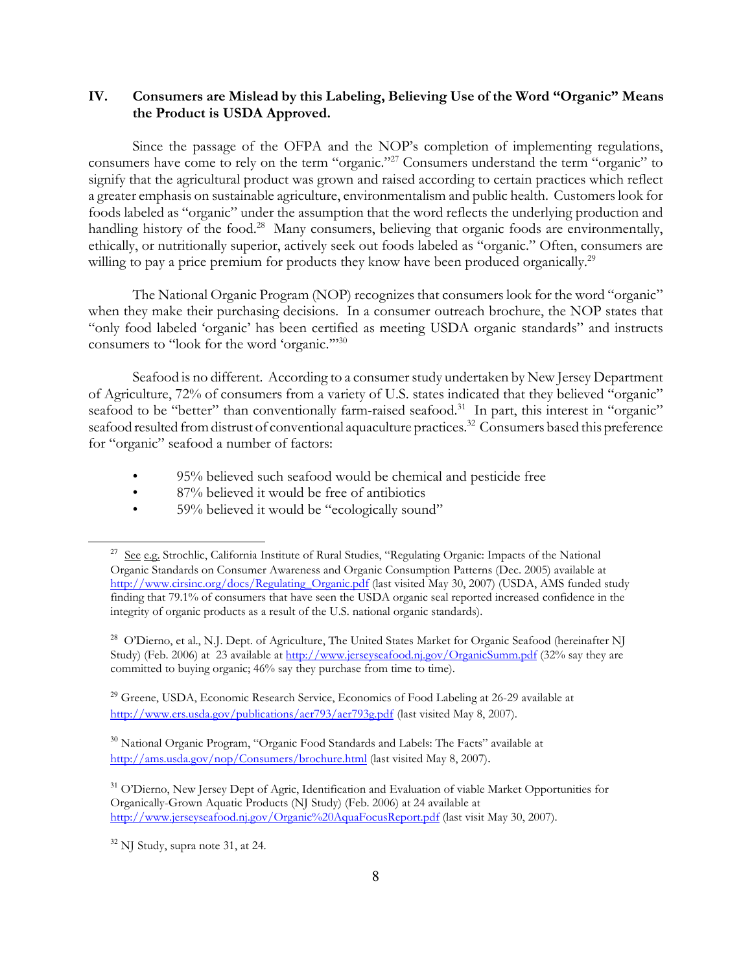## IV. Consumers are Mislead by this Labeling, Believing Use of the Word "Organic" Means the Product is USDA Approved.

Since the passage of the OFPA and the NOP's completion of implementing regulations, consumers have come to rely on the term "organic."<sup>27</sup> Consumers understand the term "organic" to signify that the agricultural product was grown and raised according to certain practices which reflect a greater emphasis on sustainable agriculture, environmentalism and public health. Customers look for foods labeled as "organic" under the assumption that the word reflects the underlying production and handling history of the food.<sup>28</sup> Many consumers, believing that organic foods are environmentally, ethically, or nutritionally superior, actively seek out foods labeled as "organic." Often, consumers are willing to pay a price premium for products they know have been produced organically.<sup>29</sup>

The National Organic Program (NOP) recognizes that consumers look for the word "organic" when they make their purchasing decisions. In a consumer outreach brochure, the NOP states that "only food labeled 'organic' has been certified as meeting USDA organic standards" and instructs consumers to "look for the word 'organic.'"<sup>30</sup>

Seafood is no different. According to a consumer study undertaken by New Jersey Department of Agriculture, 72% of consumers from a variety of U.S. states indicated that they believed "organic" seafood to be "better" than conventionally farm-raised seafood.<sup>31</sup> In part, this interest in "organic" seafood resulted from distrust of conventional aquaculture practices.<sup>32</sup> Consumers based this preference for "organic" seafood a number of factors:

- 95% believed such seafood would be chemical and pesticide free
- 87% believed it would be free of antibiotics
- 59% believed it would be "ecologically sound"

<sup>28</sup> O'Dierno, et al., N.J. Dept. of Agriculture, The United States Market for Organic Seafood (hereinafter NJ Study) (Feb. 2006) at 23 available at http://www.jerseyseafood.nj.gov/OrganicSumm.pdf (32% say they are committed to buying organic; 46% say they purchase from time to time).

<sup>29</sup> Greene, USDA, Economic Research Service, Economics of Food Labeling at 26-29 available at http://www.ers.usda.gov/publications/aer793/aer793g.pdf (last visited May 8, 2007).

<sup>30</sup> National Organic Program, "Organic Food Standards and Labels: The Facts" available at http://ams.usda.gov/nop/Consumers/brochure.html (last visited May 8, 2007).

<sup>31</sup> O'Dierno, New Jersey Dept of Agric, Identification and Evaluation of viable Market Opportunities for Organically-Grown Aquatic Products (NJ Study) (Feb. 2006) at 24 available at http://www.jerseyseafood.nj.gov/Organic%20AquaFocusReport.pdf (last visit May 30, 2007).

<sup>&</sup>lt;sup>27</sup> See e.g. Strochlic, California Institute of Rural Studies, "Regulating Organic: Impacts of the National Organic Standards on Consumer Awareness and Organic Consumption Patterns (Dec. 2005) available at http://www.cirsinc.org/docs/Regulating\_Organic.pdf (last visited May 30, 2007) (USDA, AMS funded study finding that 79.1% of consumers that have seen the USDA organic seal reported increased confidence in the integrity of organic products as a result of the U.S. national organic standards).

<sup>32</sup> NJ Study, supra note 31, at 24.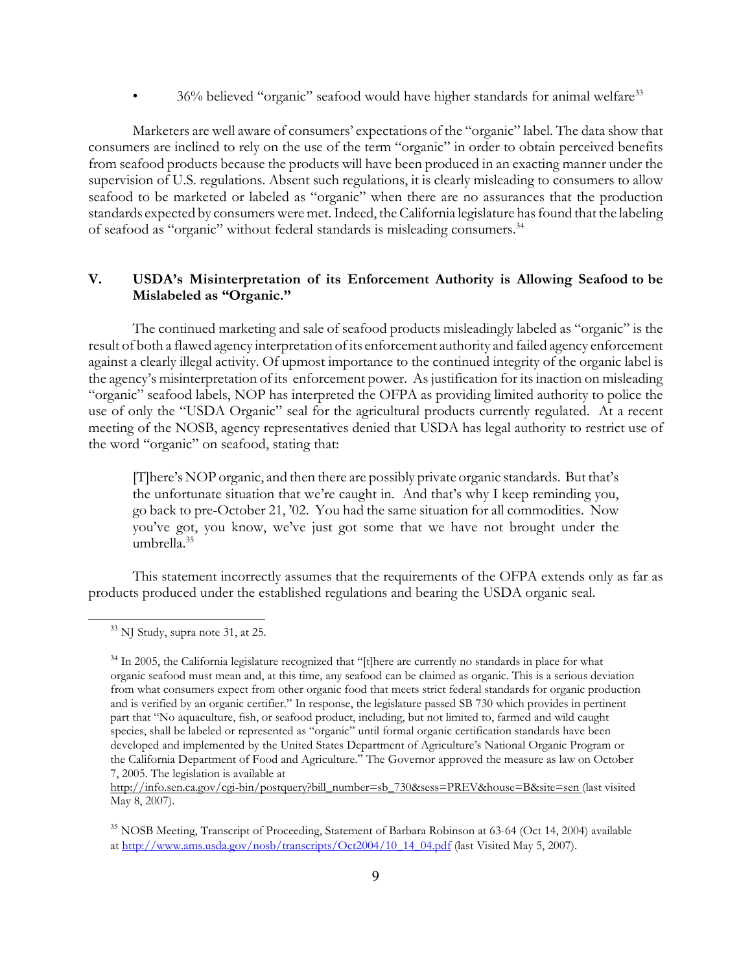• 36% believed "organic" seafood would have higher standards for animal welfare<sup>33</sup>

Marketers are well aware of consumers' expectations of the "organic" label. The data show that consumers are inclined to rely on the use of the term "organic" in order to obtain perceived benefits from seafood products because the products will have been produced in an exacting manner under the supervision of U.S. regulations. Absent such regulations, it is clearly misleading to consumers to allow seafood to be marketed or labeled as "organic" when there are no assurances that the production standards expected by consumers were met. Indeed, the California legislature has found that the labeling of seafood as "organic" without federal standards is misleading consumers.<sup>34</sup>

## V. USDA's Misinterpretation of its Enforcement Authority is Allowing Seafood to be Mislabeled as "Organic."

The continued marketing and sale of seafood products misleadingly labeled as "organic" is the result of both a flawed agency interpretation of its enforcement authority and failed agency enforcement against a clearly illegal activity. Of upmost importance to the continued integrity of the organic label is the agency's misinterpretation of its enforcement power. As justification for its inaction on misleading "organic" seafood labels, NOP has interpreted the OFPA as providing limited authority to police the use of only the "USDA Organic" seal for the agricultural products currently regulated. At a recent meeting of the NOSB, agency representatives denied that USDA has legal authority to restrict use of the word "organic" on seafood, stating that:

[T]here's NOP organic, and then there are possibly private organic standards. But that's the unfortunate situation that we're caught in. And that's why I keep reminding you, go back to pre-October 21, '02. You had the same situation for all commodities. Now you've got, you know, we've just got some that we have not brought under the umbrella.<sup>35</sup>

This statement incorrectly assumes that the requirements of the OFPA extends only as far as products produced under the established regulations and bearing the USDA organic seal.

 $33$  NJ Study, supra note 31, at 25.

<sup>34</sup> In 2005, the California legislature recognized that "[t]here are currently no standards in place for what organic seafood must mean and, at this time, any seafood can be claimed as organic. This is a serious deviation from what consumers expect from other organic food that meets strict federal standards for organic production and is verified by an organic certifier." In response, the legislature passed SB 730 which provides in pertinent part that "No aquaculture, fish, or seafood product, including, but not limited to, farmed and wild caught species, shall be labeled or represented as "organic" until formal organic certification standards have been developed and implemented by the United States Department of Agriculture's National Organic Program or the California Department of Food and Agriculture." The Governor approved the measure as law on October 7, 2005. The legislation is available at

http://info.sen.ca.gov/cgi-bin/postquery?bill\_number=sb\_730&sess=PREV&house=B&site=sen (last visited May 8, 2007).

<sup>35</sup> NOSB Meeting, Transcript of Proceeding, Statement of Barbara Robinson at 63-64 (Oct 14, 2004) available at http://www.ams.usda.gov/nosb/transcripts/Oct2004/10\_14\_04.pdf (last Visited May 5, 2007).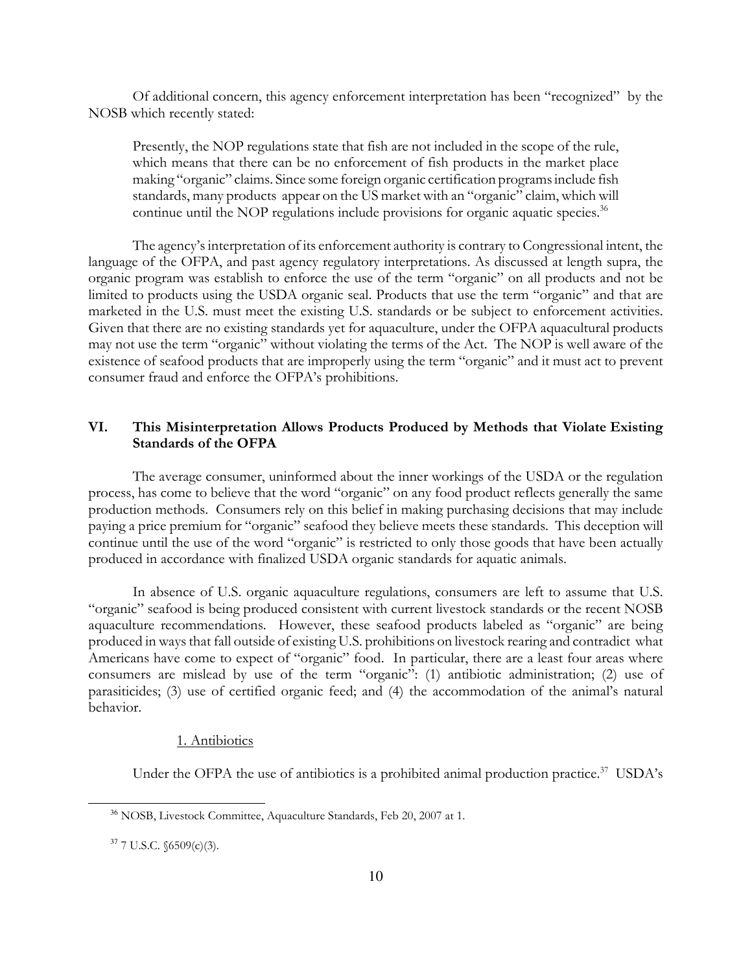Of additional concern, this agency enforcement interpretation has been "recognized" by the NOSB which recently stated:

Presently, the NOP regulations state that fish are not included in the scope of the rule, which means that there can be no enforcement of fish products in the market place making "organic" claims. Since some foreign organic certification programs include fish standards, many products appear on the US market with an "organic" claim, which will continue until the NOP regulations include provisions for organic aquatic species.<sup>36</sup>

The agency's interpretation of its enforcement authority is contrary to Congressional intent, the language of the OFPA, and past agency regulatory interpretations. As discussed at length supra, the organic program was establish to enforce the use of the term "organic" on all products and not be limited to products using the USDA organic seal. Products that use the term "organic" and that are marketed in the U.S. must meet the existing U.S. standards or be subject to enforcement activities. Given that there are no existing standards yet for aquaculture, under the OFPA aquacultural products may not use the term "organic" without violating the terms of the Act. The NOP is well aware of the existence of seafood products that are improperly using the term "organic" and it must act to prevent consumer fraud and enforce the OFPA's prohibitions.

## VI. This Misinterpretation Allows Products Produced by Methods that Violate Existing Standards of the OFPA

The average consumer, uninformed about the inner workings of the USDA or the regulation process, has come to believe that the word "organic" on any food product reflects generally the same production methods. Consumers rely on this belief in making purchasing decisions that may include paying a price premium for "organic" seafood they believe meets these standards. This deception will continue until the use of the word "organic" is restricted to only those goods that have been actually produced in accordance with finalized USDA organic standards for aquatic animals.

In absence of U.S. organic aquaculture regulations, consumers are left to assume that U.S. "organic" seafood is being produced consistent with current livestock standards or the recent NOSB aquaculture recommendations. However, these seafood products labeled as "organic" are being produced in ways that fall outside of existing U.S. prohibitions on livestock rearing and contradict what Americans have come to expect of "organic" food. In particular, there are a least four areas where consumers are mislead by use of the term "organic": (1) antibiotic administration; (2) use of parasiticides; (3) use of certified organic feed; and (4) the accommodation of the animal's natural behavior.

#### 1. Antibiotics

Under the OFPA the use of antibiotics is a prohibited animal production practice. $37$  USDA's

<sup>36</sup> NOSB, Livestock Committee, Aquaculture Standards, Feb 20, 2007 at 1.

<sup>37</sup> 7 U.S.C. §6509(c)(3).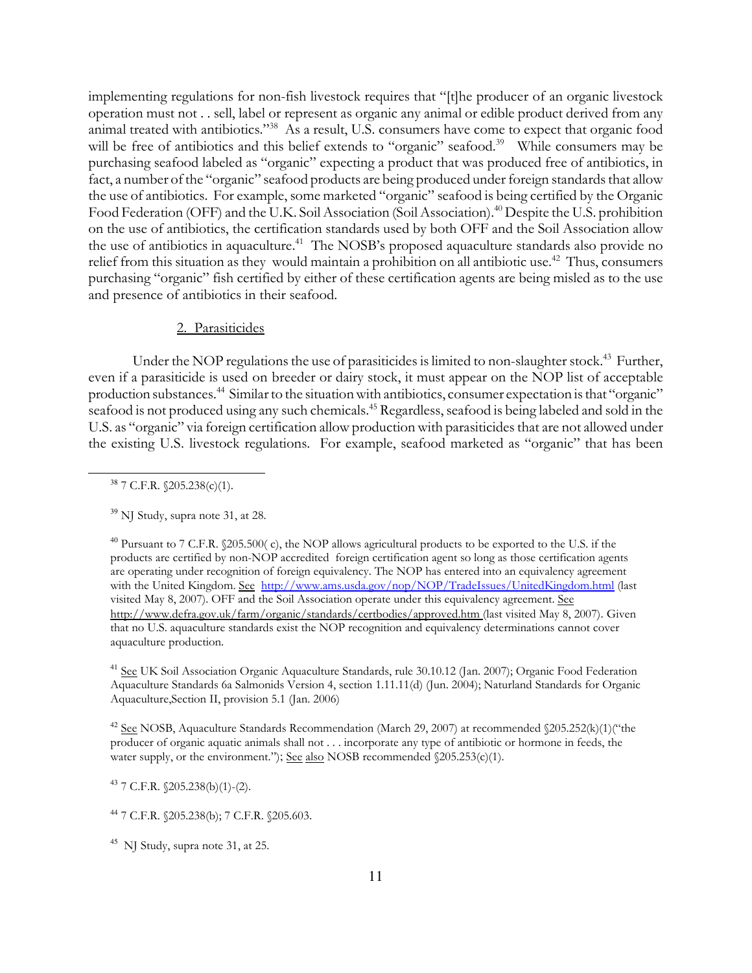implementing regulations for non-fish livestock requires that "[t]he producer of an organic livestock operation must not . . sell, label or represent as organic any animal or edible product derived from any animal treated with antibiotics."<sup>38</sup> As a result, U.S. consumers have come to expect that organic food will be free of antibiotics and this belief extends to "organic" seafood.<sup>39</sup> While consumers may be purchasing seafood labeled as "organic" expecting a product that was produced free of antibiotics, in fact, a number of the "organic" seafood products are being produced under foreign standards that allow the use of antibiotics. For example, some marketed "organic" seafood is being certified by the Organic Food Federation (OFF) and the U.K. Soil Association (Soil Association).<sup>40</sup> Despite the U.S. prohibition on the use of antibiotics, the certification standards used by both OFF and the Soil Association allow the use of antibiotics in aquaculture.<sup>41</sup> The NOSB's proposed aquaculture standards also provide no relief from this situation as they would maintain a prohibition on all antibiotic use.<sup>42</sup> Thus, consumers purchasing "organic" fish certified by either of these certification agents are being misled as to the use and presence of antibiotics in their seafood.

#### 2. Parasiticides

Under the NOP regulations the use of parasiticides is limited to non-slaughter stock.<sup>43</sup> Further, even if a parasiticide is used on breeder or dairy stock, it must appear on the NOP list of acceptable production substances.<sup>44</sup> Similar to the situation with antibiotics, consumer expectation is that "organic" seafood is not produced using any such chemicals.<sup>45</sup> Regardless, seafood is being labeled and sold in the U.S. as "organic" via foreign certification allow production with parasiticides that are not allowed under the existing U.S. livestock regulations. For example, seafood marketed as "organic" that has been

<sup>38</sup> 7 C.F.R. §205.238(c)(1).

<sup>41</sup> See UK Soil Association Organic Aquaculture Standards, rule 30.10.12 (Jan. 2007); Organic Food Federation Aquaculture Standards 6a Salmonids Version 4, section 1.11.11(d) (Jun. 2004); Naturland Standards for Organic Aquaculture,Section II, provision 5.1 (Jan. 2006)

<sup>42</sup> See NOSB, Aquaculture Standards Recommendation (March 29, 2007) at recommended §205.252(k)(1)("the producer of organic aquatic animals shall not . . . incorporate any type of antibiotic or hormone in feeds, the water supply, or the environment."); See also NOSB recommended §205.253(c)(1).

 $43$  7 C.F.R.  $(205.238(b)(1)-(2)$ .

<sup>44</sup> 7 C.F.R. §205.238(b); 7 C.F.R. §205.603.

<sup>45</sup> NJ Study, supra note 31, at 25.

<sup>&</sup>lt;sup>39</sup> NJ Study, supra note 31, at 28.

<sup>40</sup> Pursuant to 7 C.F.R. §205.500( c), the NOP allows agricultural products to be exported to the U.S. if the products are certified by non-NOP accredited foreign certification agent so long as those certification agents are operating under recognition of foreign equivalency. The NOP has entered into an equivalency agreement with the United Kingdom. See http://www.ams.usda.gov/nop/NOP/TradeIssues/UnitedKingdom.html (last visited May 8, 2007). OFF and the Soil Association operate under this equivalency agreement. See http://www.defra.gov.uk/farm/organic/standards/certbodies/approved.htm (last visited May 8, 2007). Given that no U.S. aquaculture standards exist the NOP recognition and equivalency determinations cannot cover aquaculture production.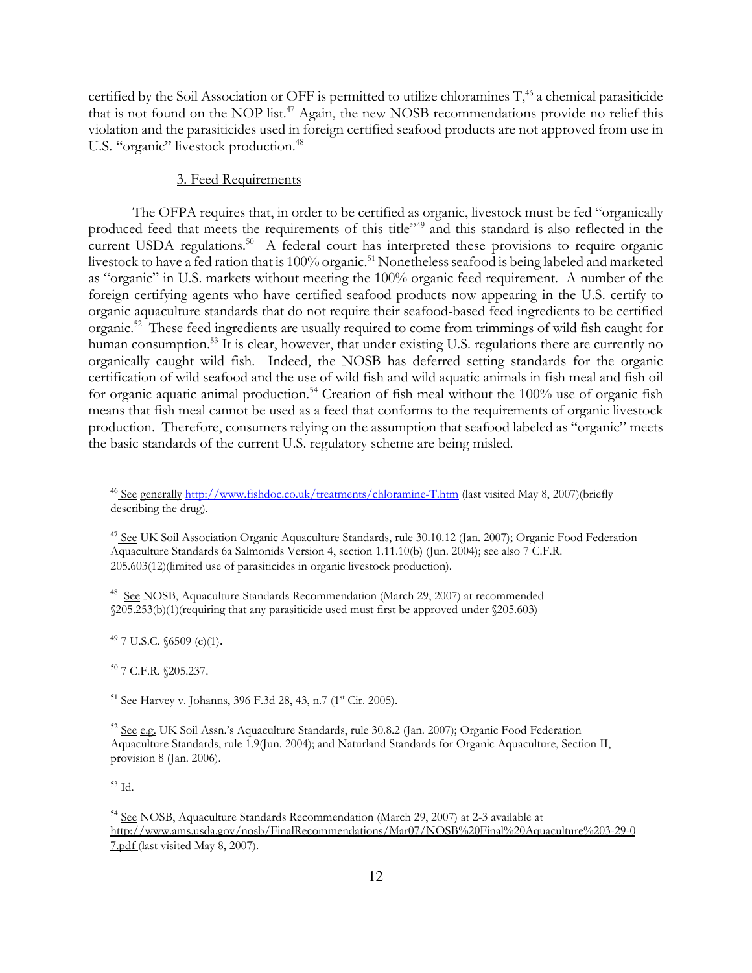certified by the Soil Association or OFF is permitted to utilize chloramines T,<sup>46</sup> a chemical parasiticide that is not found on the NOP list.<sup>47</sup> Again, the new NOSB recommendations provide no relief this violation and the parasiticides used in foreign certified seafood products are not approved from use in U.S. "organic" livestock production.<sup>48</sup>

### 3. Feed Requirements

The OFPA requires that, in order to be certified as organic, livestock must be fed "organically produced feed that meets the requirements of this title"<sup>49</sup> and this standard is also reflected in the current USDA regulations.<sup>50</sup> A federal court has interpreted these provisions to require organic livestock to have a fed ration that is 100% organic.<sup>51</sup> Nonetheless seafood is being labeled and marketed as "organic" in U.S. markets without meeting the 100% organic feed requirement. A number of the foreign certifying agents who have certified seafood products now appearing in the U.S. certify to organic aquaculture standards that do not require their seafood-based feed ingredients to be certified organic.<sup>52</sup> These feed ingredients are usually required to come from trimmings of wild fish caught for human consumption.<sup>53</sup> It is clear, however, that under existing U.S. regulations there are currently no organically caught wild fish. Indeed, the NOSB has deferred setting standards for the organic certification of wild seafood and the use of wild fish and wild aquatic animals in fish meal and fish oil for organic aquatic animal production.<sup>54</sup> Creation of fish meal without the 100% use of organic fish means that fish meal cannot be used as a feed that conforms to the requirements of organic livestock production. Therefore, consumers relying on the assumption that seafood labeled as "organic" meets the basic standards of the current U.S. regulatory scheme are being misled.

<sup>48</sup> See NOSB, Aquaculture Standards Recommendation (March 29, 2007) at recommended §205.253(b)(1)(requiring that any parasiticide used must first be approved under §205.603)

 $49$  7 U.S.C. §6509 (c)(1).

<sup>50</sup> 7 C.F.R. §205.237.

<sup>51</sup> See Harvey v. Johanns, 396 F.3d 28, 43, n.7 (1<sup>st</sup> Cir. 2005).

 $^{53}$  Id.  $\,$ 

<sup>46</sup> See generally http://www.fishdoc.co.uk/treatments/chloramine-T.htm (last visited May 8, 2007)(briefly describing the drug).

<sup>&</sup>lt;sup>47</sup> See UK Soil Association Organic Aquaculture Standards, rule 30.10.12 (Jan. 2007); Organic Food Federation Aquaculture Standards 6a Salmonids Version 4, section 1.11.10(b) (Jun. 2004); see also 7 C.F.R. 205.603(12)(limited use of parasiticides in organic livestock production).

<sup>52</sup> See e.g. UK Soil Assn.'s Aquaculture Standards, rule 30.8.2 (Jan. 2007); Organic Food Federation Aquaculture Standards, rule 1.9(Jun. 2004); and Naturland Standards for Organic Aquaculture, Section II, provision 8 (Jan. 2006).

<sup>54</sup> See NOSB, Aquaculture Standards Recommendation (March 29, 2007) at 2-3 available at http://www.ams.usda.gov/nosb/FinalRecommendations/Mar07/NOSB%20Final%20Aquaculture%203-29-0 7.pdf (last visited May 8, 2007).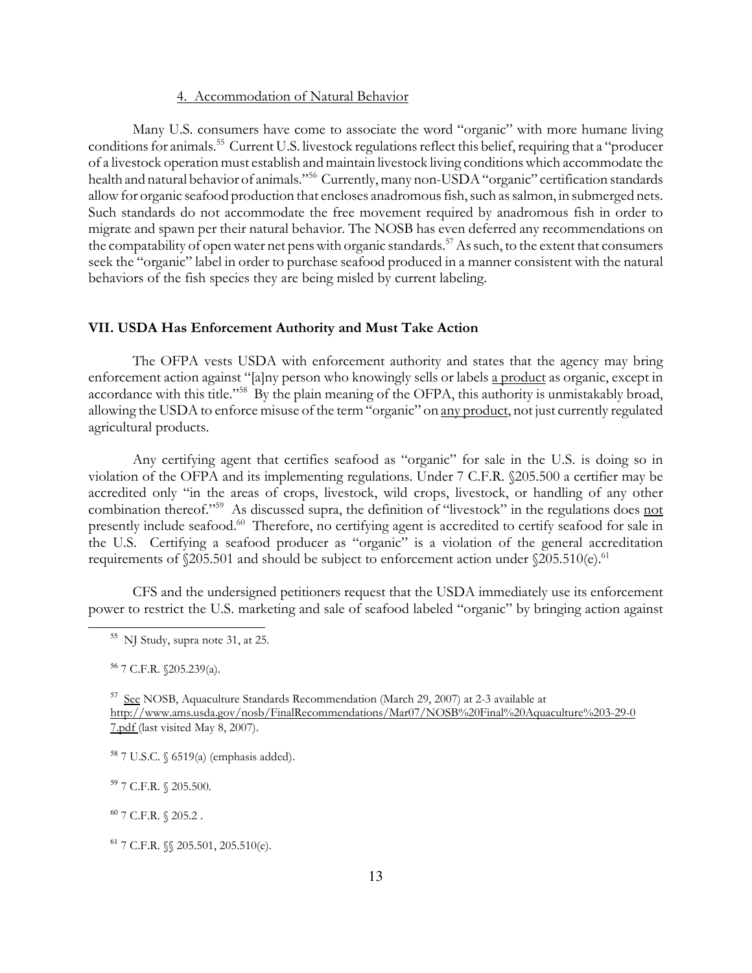#### 4. Accommodation of Natural Behavior

Many U.S. consumers have come to associate the word "organic" with more humane living conditions for animals.<sup>55</sup> Current U.S. livestock regulations reflect this belief, requiring that a "producer" of a livestock operation must establish and maintain livestock living conditions which accommodate the health and natural behavior of animals."<sup>56</sup> Currently, many non-USDA "organic" certification standards allow for organic seafood production that encloses anadromous fish, such as salmon, in submerged nets. Such standards do not accommodate the free movement required by anadromous fish in order to migrate and spawn per their natural behavior. The NOSB has even deferred any recommendations on the compatability of open water net pens with organic standards.<sup>57</sup> As such, to the extent that consumers seek the "organic" label in order to purchase seafood produced in a manner consistent with the natural behaviors of the fish species they are being misled by current labeling.

### VII. USDA Has Enforcement Authority and Must Take Action

The OFPA vests USDA with enforcement authority and states that the agency may bring enforcement action against "[a]ny person who knowingly sells or labels a product as organic, except in accordance with this title."<sup>58</sup> By the plain meaning of the OFPA, this authority is unmistakably broad, allowing the USDA to enforce misuse of the term "organic" on any product, not just currently regulated agricultural products.

Any certifying agent that certifies seafood as "organic" for sale in the U.S. is doing so in violation of the OFPA and its implementing regulations. Under 7 C.F.R. §205.500 a certifier may be accredited only "in the areas of crops, livestock, wild crops, livestock, or handling of any other combination thereof."<sup>59</sup> As discussed supra, the definition of "livestock" in the regulations does not presently include seafood.<sup>60</sup> Therefore, no certifying agent is accredited to certify seafood for sale in the U.S. Certifying a seafood producer as "organic" is a violation of the general accreditation requirements of  $$205.501$  and should be subject to enforcement action under  $$205.510(e).$ <sup>61</sup>

CFS and the undersigned petitioners request that the USDA immediately use its enforcement power to restrict the U.S. marketing and sale of seafood labeled "organic" by bringing action against

<sup>55</sup> NJ Study, supra note 31, at 25.

<sup>56</sup> 7 C.F.R. §205.239(a).

<sup>&</sup>lt;sup>57</sup> See NOSB, Aquaculture Standards Recommendation (March 29, 2007) at 2-3 available at http://www.ams.usda.gov/nosb/FinalRecommendations/Mar07/NOSB%20Final%20Aquaculture%203-29-0 7.pdf (last visited May 8, 2007).

<sup>58</sup> 7 U.S.C. § 6519(a) (emphasis added).

<sup>59</sup> 7 C.F.R. § 205.500.

 $60$  7 C.F.R.  $\{(205.2\,.$ 

<sup>61</sup> 7 C.F.R. §§ 205.501, 205.510(e).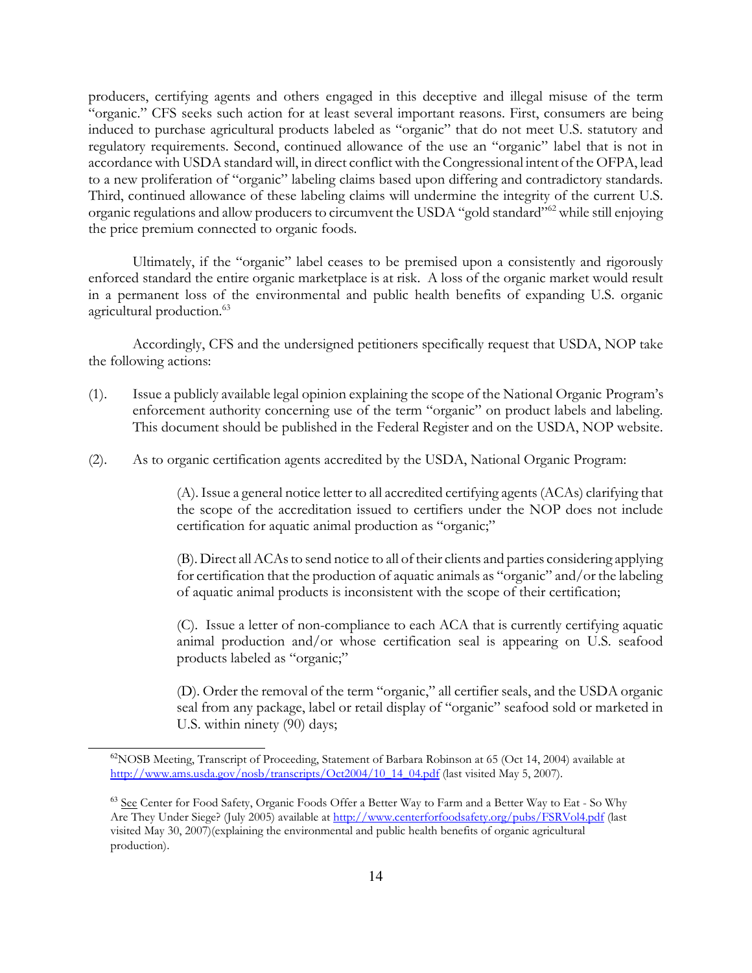producers, certifying agents and others engaged in this deceptive and illegal misuse of the term "organic." CFS seeks such action for at least several important reasons. First, consumers are being induced to purchase agricultural products labeled as "organic" that do not meet U.S. statutory and regulatory requirements. Second, continued allowance of the use an "organic" label that is not in accordance with USDA standard will, in direct conflict with the Congressional intent of the OFPA, lead to a new proliferation of "organic" labeling claims based upon differing and contradictory standards. Third, continued allowance of these labeling claims will undermine the integrity of the current U.S. organic regulations and allow producers to circumvent the USDA "gold standard"<sup>62</sup> while still enjoying the price premium connected to organic foods.

Ultimately, if the "organic" label ceases to be premised upon a consistently and rigorously enforced standard the entire organic marketplace is at risk. A loss of the organic market would result in a permanent loss of the environmental and public health benefits of expanding U.S. organic agricultural production.<sup>63</sup>

Accordingly, CFS and the undersigned petitioners specifically request that USDA, NOP take the following actions:

- (1). Issue a publicly available legal opinion explaining the scope of the National Organic Program's enforcement authority concerning use of the term "organic" on product labels and labeling. This document should be published in the Federal Register and on the USDA, NOP website.
- (2). As to organic certification agents accredited by the USDA, National Organic Program:

(A). Issue a general notice letter to all accredited certifying agents (ACAs) clarifying that the scope of the accreditation issued to certifiers under the NOP does not include certification for aquatic animal production as "organic;"

(B). Direct all ACAs to send notice to all of their clients and parties considering applying for certification that the production of aquatic animals as "organic" and/or the labeling of aquatic animal products is inconsistent with the scope of their certification;

(C). Issue a letter of non-compliance to each ACA that is currently certifying aquatic animal production and/or whose certification seal is appearing on U.S. seafood products labeled as "organic;"

(D). Order the removal of the term "organic," all certifier seals, and the USDA organic seal from any package, label or retail display of "organic" seafood sold or marketed in U.S. within ninety (90) days;

 $^{62}$ NOSB Meeting, Transcript of Proceeding, Statement of Barbara Robinson at 65 (Oct 14, 2004) available at http://www.ams.usda.gov/nosb/transcripts/Oct2004/10\_14\_04.pdf (last visited May 5, 2007).

<sup>&</sup>lt;sup>63</sup> See Center for Food Safety, Organic Foods Offer a Better Way to Farm and a Better Way to Eat - So Why Are They Under Siege? (July 2005) available at http://www.centerforfoodsafety.org/pubs/FSRVol4.pdf (last visited May 30, 2007)(explaining the environmental and public health benefits of organic agricultural production).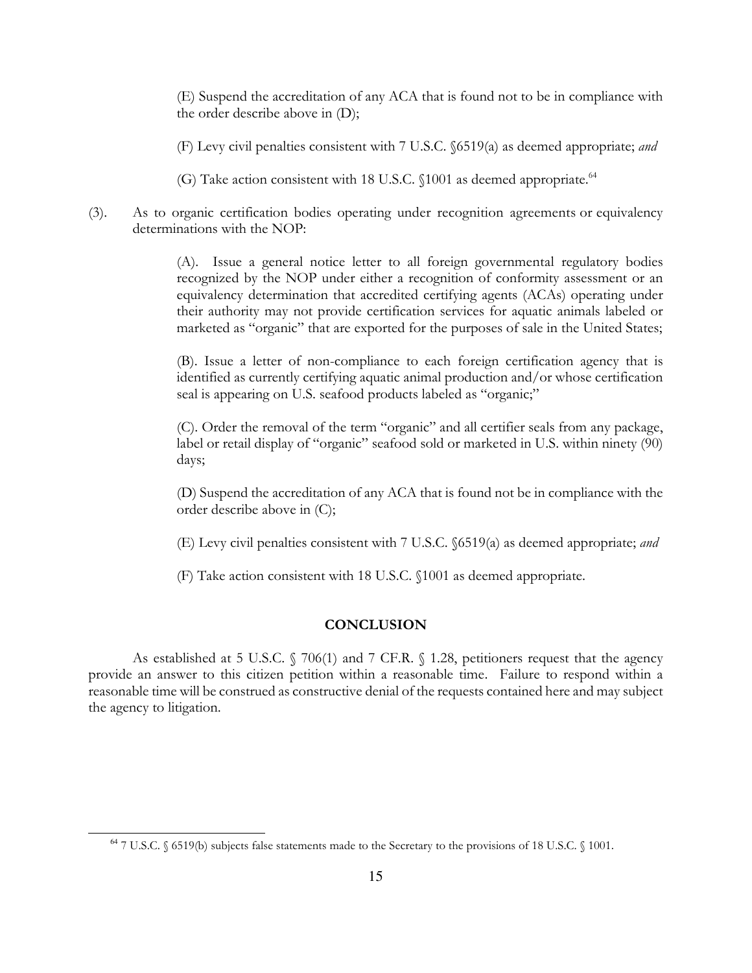(E) Suspend the accreditation of any ACA that is found not to be in compliance with the order describe above in (D);

(F) Levy civil penalties consistent with 7 U.S.C. §6519(a) as deemed appropriate; and

(G) Take action consistent with 18 U.S.C. §1001 as deemed appropriate.<sup>64</sup>

(3). As to organic certification bodies operating under recognition agreements or equivalency determinations with the NOP:

> (A). Issue a general notice letter to all foreign governmental regulatory bodies recognized by the NOP under either a recognition of conformity assessment or an equivalency determination that accredited certifying agents (ACAs) operating under their authority may not provide certification services for aquatic animals labeled or marketed as "organic" that are exported for the purposes of sale in the United States;

> (B). Issue a letter of non-compliance to each foreign certification agency that is identified as currently certifying aquatic animal production and/or whose certification seal is appearing on U.S. seafood products labeled as "organic;"

> (C). Order the removal of the term "organic" and all certifier seals from any package, label or retail display of "organic" seafood sold or marketed in U.S. within ninety (90) days;

> (D) Suspend the accreditation of any ACA that is found not be in compliance with the order describe above in (C);

> (E) Levy civil penalties consistent with 7 U.S.C. §6519(a) as deemed appropriate; and

(F) Take action consistent with 18 U.S.C. §1001 as deemed appropriate.

## **CONCLUSION**

As established at 5 U.S.C. § 706(1) and 7 CF.R. § 1.28, petitioners request that the agency provide an answer to this citizen petition within a reasonable time. Failure to respond within a reasonable time will be construed as constructive denial of the requests contained here and may subject the agency to litigation.

<sup>64</sup> 7 U.S.C. § 6519(b) subjects false statements made to the Secretary to the provisions of 18 U.S.C. § 1001.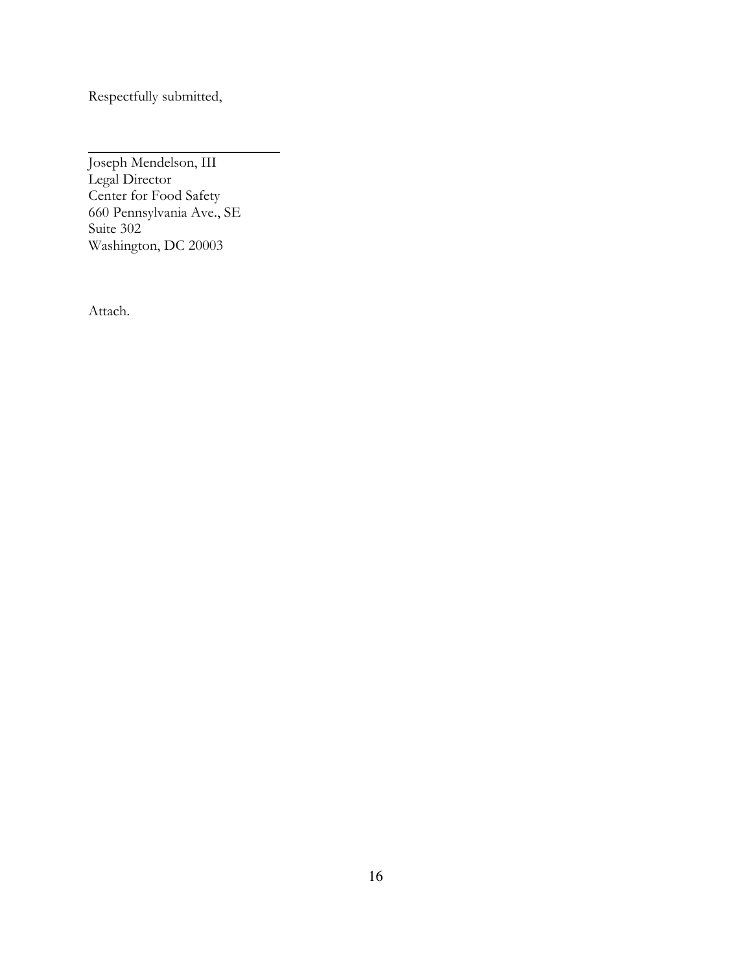Respectfully submitted,

l Joseph Mendelson, III Legal Director Center for Food Safety 660 Pennsylvania Ave., SE Suite 302 Washington, DC 20003

Attach.